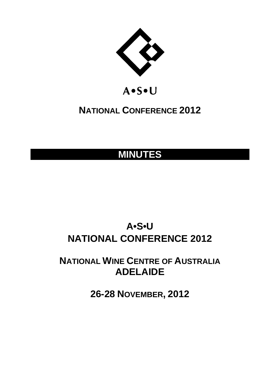

# A.S.U

# **NATIONAL CONFERENCE 2012**

# **MINUTES**

# **A•S•U NATIONAL CONFERENCE 2012**

**NATIONAL WINE CENTRE OF AUSTRALIA ADELAIDE** 

**26-28 NOVEMBER, 2012**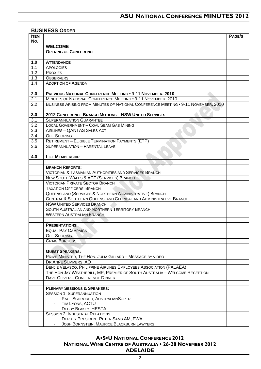#### **BUSINESS ORDER**

| <b>ITEM</b>      |                                                                                    | PAGE/S |
|------------------|------------------------------------------------------------------------------------|--------|
| No.              |                                                                                    |        |
|                  | <b>WELCOME</b>                                                                     |        |
|                  | <b>OPENING OF CONFERENCE</b>                                                       |        |
|                  |                                                                                    |        |
| 1.0              | <b>ATTENDANCE</b>                                                                  |        |
| 1.1              | <b>APOLOGIES</b>                                                                   |        |
| 1.2              | <b>PROXIES</b>                                                                     |        |
| 1.3              | <b>OBSERVERS</b>                                                                   |        |
| 1.4              | <b>ADOPTION OF AGENDA</b>                                                          |        |
| 2.0              | <b>PREVIOUS NATIONAL CONFERENCE MEETING . 9-11 NOVEMBER, 2010</b>                  |        |
| 2.1              | MINUTES OF NATIONAL CONFERENCE MEETING . 9-11 NOVEMBER, 2010                       |        |
| 2.2              | BUSINESS ARISING FROM MINUTES OF NATIONAL CONFERENCE MEETING . 9-11 NOVEMBER, 2010 |        |
|                  |                                                                                    |        |
| 3.0              | <b>2012 CONFERENCE BRANCH MOTIONS - NSW UNITED SERVICES</b>                        |        |
| 3.1              | <b>SUPERANNUATION GUARANTEE</b>                                                    |        |
| 3.2              | LOCAL GOVERNMENT - COAL SEAM GAS MINING                                            |        |
| 3.3              | AIRLINES - QANTAS SALES ACT                                                        |        |
| $\overline{3.4}$ | <b>OFF-SHORING</b>                                                                 |        |
| 3.5              | <b>RETIREMENT - ELIGIBLE TERMINATION PAYMENTS (ETP)</b>                            |        |
| 3.6              | <b>SUPERANNUATION - PARENTAL LEAVE</b>                                             |        |
|                  |                                                                                    |        |
| 4.0              | <b>LIFE MEMBERSHIP</b>                                                             |        |
|                  |                                                                                    |        |
|                  | <b>BRANCH REPORTS:</b>                                                             |        |
|                  | <b>VICTORIAN &amp; TASMANIAN AUTHORITIES AND SERVICES BRANCH</b>                   |        |
|                  | NEW SOUTH WALES & ACT (SERVICES) BRANCH                                            |        |
|                  | <b>VICTORIAN PRIVATE SECTOR BRANCH</b>                                             |        |
|                  | <b>TAXATION OFFICERS' BRANCH</b>                                                   |        |
|                  | QUEENSLAND (SERVICES & NORTHERN ADMINISTRATIVE) BRANCH                             |        |
|                  | CENTRAL & SOUTHERN QUEENSLAND CLERICAL AND ADMINISTRATIVE BRANCH                   |        |
|                  | <b>NSW UNITED SERVICES BRANCH</b>                                                  |        |
|                  | SOUTH AUSTRALIAN AND NORTHERN TERRITORY BRANCH                                     |        |
|                  | <b>WESTERN AUSTRALIAN BRANCH</b>                                                   |        |
|                  |                                                                                    |        |
|                  | <b>PRESENTATIONS:</b>                                                              |        |
|                  | <b>EQUAL PAY CAMPAIGN</b>                                                          |        |
|                  | <b>OFF-SHORING</b><br><b>CRAIG BURGESS</b>                                         |        |
|                  |                                                                                    |        |
|                  | <b>GUEST SPEAKERS:</b>                                                             |        |
|                  | PRIME MINISTER, THE HON. JULIA GILLARD - MESSAGE BY VIDEO                          |        |
|                  | DR ANNE SUMMERS, AO                                                                |        |
|                  | BENJIE VELASCO, PHILIPPINE AIRLINES EMPLOYEES ASSOCIATION (PALAEA)                 |        |
|                  | THE HON JAY WEATHERILL, MP, PREMIER OF SOUTH AUSTRALIA - WELCOME RECEPTION         |        |
|                  | DAVE OLIVER - CONFERENCE DINNER                                                    |        |
|                  |                                                                                    |        |
|                  | <b>PLENARY SESSIONS &amp; SPEAKERS:</b>                                            |        |
|                  | <b>SESSION 1: SUPERANNUATION</b>                                                   |        |
|                  | PAUL SCHRODER, AUSTRALIANSUPER                                                     |        |
|                  | TIM LYONS, ACTU                                                                    |        |
|                  | DEBBY BLAKEY, HESTA                                                                |        |
|                  | <b>SESSION 2: INDUSTRIAL RELATIONS</b>                                             |        |
|                  | DEPUTY PRESIDENT PETER SAMS AM, FWA                                                |        |
|                  | <b>JOSH BORNSTEIN, MAURICE BLACKBURN LAWYERS</b>                                   |        |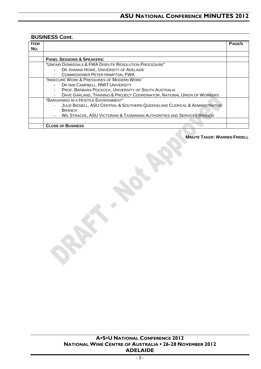## **BUSINESS Cont.**

| Ітем |                                                                                  | <b>PAGE/S</b> |
|------|----------------------------------------------------------------------------------|---------------|
| No.  |                                                                                  |               |
|      |                                                                                  |               |
|      | <b>PANEL SESSIONS &amp; SPEAKERS:</b>                                            |               |
|      | "UNFAIR DISMISSALS & FWA DISPUTE RESOLUTION PROCEDURE"                           |               |
|      | DR JOANNA HOWE, UNIVERSITY OF ADELAIDE<br>$\overline{\phantom{a}}$               |               |
|      | <b>COMMISSIONER PETER HAMPTON, FWA</b>                                           |               |
|      | "INSECURE WORK & PRESSURES OF MODERN WORK"                                       |               |
|      | DR IAIN CAMPBELL, RMIT UNIVERSITY<br>۰                                           |               |
|      | PROF. BARBARA POCKOCK, UNIVERSITY OF SOUTH AUSTRALIA<br>$\overline{\phantom{m}}$ |               |
|      | DAVE GARLAND, TRAINING & PROJECT COORDINATOR, NATIONAL UNION OF WORKERS          |               |
|      | "BARGAINING IN A HOSTILE ENVIRONMENT"                                            |               |
|      | JULIE BIGNELL, ASU CENTRAL & SOUTHERN QUEENSLAND CLERICAL & ADMINISTRATIVE       |               |
|      | <b>BRANCH</b>                                                                    |               |
|      | WIL STRACKE, ASU VICTORIAN & TASMANIAN AUTHORITIES AND SERVICES BRANCH           |               |
|      |                                                                                  |               |
|      | <b>CLOSE OF BUSINESS</b>                                                         |               |

#### **MINUTE TAKER: WARREN FRIDELL**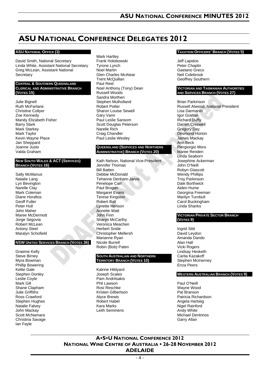## **ASU NATIONAL CONFERENCE DELEGATES 2012**

#### **ASU NATIONAL OFFICE (3)**

David Smith, National Secretary Linda White, Assistant National Secretary Greg McLean, Assistant National **Secretary** 

#### **CENTRAL & SOUTHERN QUEENSLAND CLERICAL AND ADMINISTRATIVE BRANCH (VOTES 15)**

Julie Bignell Ruth McFarlane Christine Collyer Zoe Kennedy Mandy Elizabeth Fisher Barry Stark Mark Starkey Mark Taylor Kevin Wayne Place Jan Sheppard Joanne Justo Valda Graham

#### **NEW SOUTH WALES & ACT (SERVICES) BRANCH (VOTES 16)**

Sally McManus Natalie Lang Lyn Bevington Narelle Clay Mark Coleman Diane Horafios Geoff Fuller Peter Hull John Maher Maree McDermott Jorge Segovia Robert McLean Antony Steel Maralyn Schofield

#### **NSW UNITED SERVICES BRANCH (VOTES 36)**

Graeme Kelly Steve Birney Myra Bowman Phillip Bowering Kellie Gale Stephen Donley Leslie Coyle Mark Gill Shane Clapham Julie Griffiths Ross Crawford Stephen Hughes Natalie Falvey John Mackay Scott McNamara Christina Savage Ian Fayle

Mark Hartley Frank Holobowski Tyrone Lynch Noel Martin Glen Charles McAtear Trent McQuillan Paul Reid Noel Anthony (Tony) Dean Russell Woods Sandra Morthen Stephen Mulholland Robert Potter Sharon Louise Sewell Gary Vann Paul Leslie Sansom Scott Douglas Peterson Narelle Rich Craig Chandler Paul Leslie Wesley

#### **QUEENSLAND (SERVICES AND NORTHERN ADMINISTRATIVE) BRANCH (VOTES 20)**

Kath Nelson, National Vice-President Jennifer Thomas Bill Batten Debbie McDonald Tehanne Denham-Jarvis Penelope Carr Paul Brogan Margaret Evans Terese Kingston Robert Ball Lynette Henson Annette Watt John Finn Sharyn McCarthy Veronica Meachen Herbert Snide Christopher Mellersh Marianne Ryan Nicole Burrell Robin (Bob) Paten

#### **SOUTH AUSTRALIAN AND NORTHERN TERRITORY BRANCH (VOTES 10)**

Katrine Hildyard Joseph Scales Pam Andritsakis Phil Lawson Rosi Reschke Kristen Gilbertson Alyce Brewis Robert Habel Kara Marks Leith Semmens

#### **TAXATION OFFICERS' BRANCH (VOTES 5)**

Jeff Lapidos Peter Chaplin Gaetano Greco Neil Colebrook Geoffrey Southern

#### **VICTORIAN AND TASMANIAN AUTHORITIES AND SERVICES BRANCH (VOTES 27)**

Brian Parkinson Russell Atwood, National President Lisa Darmanin Igor Grattan Richard Duffy Darren Creswell Gregory Day Desmond Horton James Mackay Ann Beck Piergiorgio Moro Maree Renden Linda Seaborn Josephine Ackerman John O'Neill Robyn Glascott Wendy Phillips Troy Parkinson Dale Borthwick Aiden Hume Georgina Freeman Marilyn Turnbull Carol Buckingham Linda Shanks

#### **VICTORIAN PRIVATE SECTOR BRANCH (VOTES 9)**

Ingrid Stitt David Leydon Amanda Dando Alan Hall Vicki Rogers Lindsay Hesketh Carita Kazakoff Stephen McInerney Enza Peers

#### **WESTERN AUSTRALIAN BRANCH (VOTES 9)**

Paul O'Neill Wayne Wood Pat Branson Patricia Richardson Angela Hartwig Nigel Rainford Andy White Michael Dentrinos Garry Allan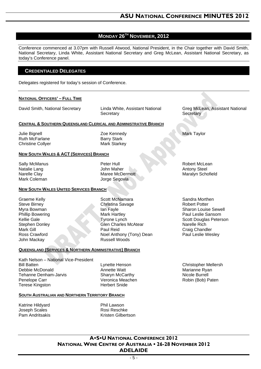## **MONDAY 26TH NOVEMBER, 2012**

Conference commenced at 3.07pm with Russell Atwood, National President, in the Chair together with David Smith, National Secretary, Linda White, Assistant National Secretary and Greg McLean, Assistant National Secretary, as today's Conference panel.

## **CREDENTIALED DELEGATES**

Delegates registered for today's session of Conference.

#### **NATIONAL OFFICERS' – FULL TIME**

David Smith, National Secretary Linda White, Assistant National

**Secretary** 

#### **CENTRAL & SOUTHERN QUEENSLAND CLERICAL AND ADMINISTRATIVE BRANCH**

Julie Bignell Ruth McFarlane Christine Collyer Zoe Kennedy Barry Stark Mark Starkey

#### **NEW SOUTH WALES & ACT (SERVICES) BRANCH**

Sally McManus Natalie Lang Narelle Clay Mark Coleman

Peter Hull John Maher Maree McDermott Jorge Segovia

#### **NEW SOUTH WALES UNITED SERVICES BRANCH**

Graeme Kelly Steve Birney Myra Bowman Phillip Bowering Kellie Gale Stephen Donley Mark Gill Ross Crawford John Mackay

Bill Batten

Penelope Carr

Scott McNamara Christina Savage Ian Fayle Mark Hartley Tyrone Lynch Glen Charles McAtear Paul Reid Noel Anthony (Tony) Dean Russell Woods

Greg McLean, Assistant National

**Secretary** 

Mark Taylor

Robert McLean Antony Steel Maralyn Schofield

Sandra Morthen Robert Potter Sharon Louise Sewell Paul Leslie Sansom Scott Douglas Peterson Narelle Rich Craig Chandler Paul Leslie Wesley

Christopher Mellersh Marianne Ryan Nicole Burrell Robin (Bob) Paten

Kath Nelson – National Vice-President Debbie McDonald Tehanne Denham-Jarvis Terese Kingston

**QUEENSLAND (SERVICES & NORTHERN ADMINISTRATIVE) BRANCH**

Lynette Henson Annette Watt Sharyn McCarthy Veronica Meachen Herbert Snide

#### **SOUTH AUSTRALIAN AND NORTHERN TERRITORY BRANCH**

Katrine Hildyard Joseph Scales Pam Andritsakis Phil Lawson Rosi Reschke Kristen Gilbertson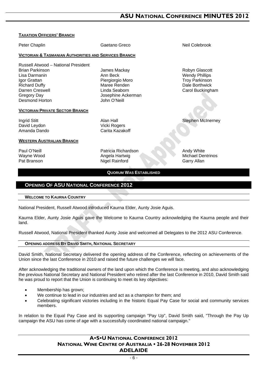#### **TAXATION OFFICERS' BRANCH**

Peter Chaplin **Caetano Greco** Chaplin Gaetano Greco Chaplin Neil Colebrook **VICTORIAN & TASMANIAN AUTHORITIES AND SERVICES BRANCH** Russell Atwood – National President Brian Parkinson Lisa Darmanin Igor Grattan Richard Duffy Darren Creswell Gregory Day Desmond Horton James Mackay Ann Beck Piergiorgio Moro Maree Renden Linda Seaborn Josephine Ackerman John O'Neill Robyn Glascott Wendy Phillips Troy Parkinson Dale Borthwick Carol Buckingham **VICTORIAN PRIVATE SECTOR BRANCH** Ingrid Stitt David Leydon Amanda Dando Alan Hall Vicki Rogers Carita Kazakoff Stephen McInerney **WESTERN AUSTRALIAN BRANCH** Paul O'Neill Wayne Wood Pat Branson Patricia Richardson Angela Hartwig Nigel Rainford Andy White Michael Dentrinos Garry Allan **QUORUM WAS ESTABLISHED**

## **OPENING OF ASU NATIONAL CONFERENCE 2012**

#### **WELCOME TO KAURNA COUNTRY**

National President, Russell Atwood introduced Kaurna Elder, Aunty Josie Aguis.

Kaurna Elder, Aunty Josie Aguis gave the Welcome to Kaurna Country acknowledging the Kaurna people and their land.

Russell Atwood, National President thanked Aunty Josie and welcomed all Delegates to the 2012 ASU Conference.

#### **OPENING ADDRESS BY DAVID SMITH, NATIONAL SECRETARY**

David Smith, National Secretary delivered the opening address of the Conference, reflecting on achievements of the Union since the last Conference in 2010 and raised the future challenges we will face.

After acknowledging the traditional owners of the land upon which the Conference is meeting, and also acknowledging the previous National Secretary and National President who retired after the last Conference in 2010, David Smith said he was proud to report that the Union is continuing to meet its key objectives:

- Membership has grown;
- We continue to lead in our industries and act as a champion for them; and
- Celebrating significant victories including in the historic Equal Pay Case for social and community services members.

In relation to the Equal Pay Case and its supporting campaign "Pay Up", David Smith said, "Through the Pay Up campaign the ASU has come of age with a successfully coordinated national campaign."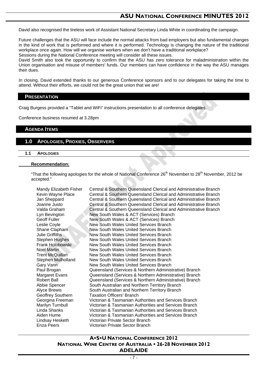David also recognised the tireless work of Assistant National Secretary Linda White in coordinating the campaign.

Future challenges that the ASU will face include the normal attacks from bad employers but also fundamental changes in the kind of work that is performed and where it is performed. Technology is changing the nature of the traditional workplace once again. How will we organise workers when we don't have a traditional workplace? Sessions during the National Conference meeting will consider all these issues.

David Smith also took the opportunity to confirm that the ASU has zero tolerance for maladministration within the Union organisation and misuse of members' funds. Our members can have confidence in the way the ASU manages their dues.

In closing, David extended thanks to our generous Conference sponsors and to our delegates for taking the time to attend. Without their efforts, we could not be the great union that we are!

#### **PRESENTATION**

Craig Burgess provided a "Tablet and WiFi" instructions presentation to all conference delegates.

Conference business resumed at 3.28pm

### **AGENDA ITEMS**

#### **1.0 APOLOGIES, PROXIES, OBSERVERS**

#### **1.1 APOLOGIES**

#### **Recommendation:**

"That the following apologies for the whole of National Conference  $26<sup>th</sup>$  November to  $28<sup>th</sup>$  November, 2012 be accepted."

| Mandy Elizabeth Fisher | Central & Southern Queensland Clerical and Administrative Branch |
|------------------------|------------------------------------------------------------------|
| Kevin Wayne Place      | Central & Southern Queensland Clerical and Administrative Branch |
| Jan Sheppard           | Central & Southern Queensland Clerical and Administrative Branch |
| Joanne Justo           | Central & Southern Queensland Clerical and Administrative Branch |
| Valda Graham           | Central & Southern Queensland Clerical and Administrative Branch |
| Lyn Bevington          | New South Wales & ACT (Services) Branch                          |
| Geoff Fuller           | New South Wales & ACT (Services) Branch                          |
| Leslie Coyle           | New South Wales United Services Branch                           |
| Shane Clapham          | New South Wales United Services Branch                           |
| Julie Griffiths        | New South Wales United Services Branch                           |
| Stephen Hughes         | New South Wales United Services Branch                           |
| Frank Holobowski       | New South Wales United Services Branch                           |
| Noel Martin            | New South Wales United Services Branch                           |
| Trent McQuillan        | New South Wales United Services Branch                           |
| Stephen Mulholland     | New South Wales United Services Branch                           |
| Gary Vann              | New South Wales United Services Branch                           |
| Paul Brogan            | Queensland (Services & Northern Administrative) Branch           |
| Margaret Evans         | Queensland (Services & Northern Administrative) Branch           |
| <b>Robert Ball</b>     | Queensland (Services & Northern Administrative) Branch           |
| Abbie Spencer          | South Australian and Northern Territory Branch                   |
| Alyce Brewis           | South Australian and Northern Territory Branch                   |
| Geoffrey Southern      | <b>Taxation Officers' Branch</b>                                 |
| Georgina Freeman       | Victorian & Tasmanian Authorities and Services Branch            |
| Marilyn Turnbull       | Victorian & Tasmanian Authorities and Services Branch            |
| Linda Shanks           | Victorian & Tasmanian Authorities and Services Branch            |
| Aiden Hume             | Victorian & Tasmanian Authorities and Services Branch            |
| Lindsay Hesketh        | Victorian Private Sector Branch                                  |
| Enza Peers             | Victorian Private Sector Branch                                  |
|                        |                                                                  |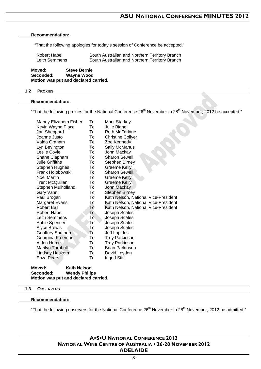#### **Recommendation:**

"That the following apologies for today's session of Conference be accepted."

| Robert Habel  | South Australian and Northern Territory Branch |
|---------------|------------------------------------------------|
| Leith Semmens | South Australian and Northern Territory Branch |

**Moved: Steve Bernie Seconded: Wayne Wood Motion was put and declared carried.** 

#### **1.2 PROXIES**

#### **Recommendation:**

"That the following proxies for the National Conference 26<sup>th</sup> November to 28<sup>th</sup> November, 2012 be accepted."

| Mandy Elizabeth Fisher  | To | <b>Mark Starkey</b>                  |
|-------------------------|----|--------------------------------------|
| Kevin Wayne Place       | To | Julie Bignell                        |
| Jan Sheppard            | To | <b>Ruth McFarlane</b>                |
| Joanne Justo            | To | <b>Christine Collyer</b>             |
| Valda Graham            | To | Zoe Kennedy                          |
| Lyn Bevington           | To | Sally McManus                        |
| Leslie Coyle            | To | John Mackay                          |
| Shane Clapham           | To | Sharon Sewell                        |
| <b>Julie Griffiths</b>  | To | <b>Stephen Birney</b>                |
| Stephen Hughes          | To | <b>Graeme Kelly</b>                  |
| Frank Holobowski        | To | Sharon Sewell                        |
| <b>Noel Martin</b>      | To | <b>Graeme Kelly</b>                  |
| <b>Trent McQuillan</b>  | To | <b>Graeme Kelly</b>                  |
| Stephen Mulholland      | To | John Mackay                          |
| Gary Vann               | To | <b>Stephen Birney</b>                |
| Paul Brogan             | To | Kath Nelson, National Vice-President |
| <b>Margaret Evans</b>   | To | Kath Nelson, National Vice-President |
| Robert Ball             | To | Kath Nelson, National Vice-President |
| Robert Habel            | To | Joseph Scales                        |
| Leith Semmens           | To | Joseph Scales                        |
| Abbie Spencer           | To | Joseph Scales                        |
| <b>Alyce Brewis</b>     | To | Joseph Scales                        |
| Geoffrey Southern       | To | Jeff Lapidos                         |
| Georgina Freeman        | To | <b>Troy Parkinson</b>                |
| Aiden Hume              | To | <b>Troy Parkinson</b>                |
| <b>Marilyn Turnbull</b> | To | <b>Brian Parkinson</b>               |
| Lindsay Hesketh         | To | David Leydon                         |
| Enza Peers              | To | Ingrid Stitt                         |
|                         |    |                                      |
| Kath Nelson<br>Moved:   |    |                                      |

**Seconded: Wendy Philips Motion was put and declared carried.** 

#### **1.3 OBSERVERS**

#### **Recommendation:**

"That the following observers for the National Conference 26<sup>th</sup> November to 28<sup>th</sup> November, 2012 be admitted."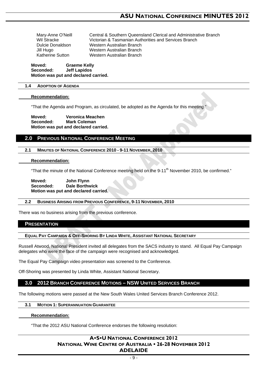Mary-Anne O'Neill Central & Southern Queensland Clerical and Administrative Branch Wil Stracke Victorian & Tasmanian Authorities and Services Branch Dulcie Donaldson Western Australian Branch Jill Hugo Western Australian Branch Katherine Sutton Western Australian Branch

**Moved: Graeme Kelly Seconded: Jeff Lapidos Motion was put and declared carried.** 

#### **1.4 ADOPTION OF AGENDA**

#### **Recommendation:**

"That the Agenda and Program, as circulated, be adopted as the Agenda for this meeting."

**Moved: Veronica Meachen Seconded: Mark Coleman Motion was put and declared carried.** 

#### **2.0 PREVIOUS NATIONAL CONFERENCE MEETING**

#### **2.1 MINUTES OF NATIONAL CONFERENCE 2010 - 9-11 NOVEMBER, 2010**

#### **Recommendation:**

"That the minute of the National Conference meeting held on the 9-11<sup>th</sup> November 2010, be confirmed."

**Moved: John Flynn Seconded: Dale Borthwick Motion was put and declared carried.** 

#### **2.2 BUSINESS ARISING FROM PREVIOUS CONFERENCE, 9-11 NOVEMBER, 2010**

There was no business arising from the previous conference.

#### **PRESENTATION**

#### **EQUAL PAY CAMPAIGN & OFF-SHORING BY LINDA WHITE, ASSISTANT NATIONAL SECRETARY**

Russell Atwood, National President invited all delegates from the SACS industry to stand. All Equal Pay Campaign delegates who were the face of the campaign were recognised and acknowledged.

The Equal Pay Campaign video presentation was screened to the Conference.

Off-Shoring was presented by Linda White, Assistant National Secretary.

## **3.0 2012 BRANCH CONFERENCE MOTIONS – NSW UNITED SERVICES BRANCH**

The following motions were passed at the New South Wales United Services Branch Conference 2012.

#### **3.1 MOTION 1: SUPERANNUATION GUARANTEE**

#### **Recommendation:**

"That the 2012 ASU National Conference endorses the following resolution: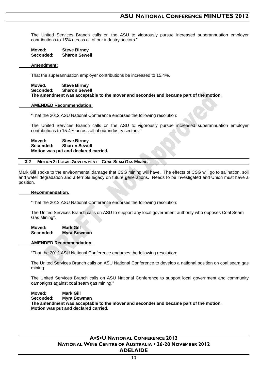The United Services Branch calls on the ASU to vigorously pursue increased superannuation employer contributions to 15% across all of our industry sectors."

| Moved:    | <b>Steve Birney</b>  |
|-----------|----------------------|
| Seconded: | <b>Sharon Sewell</b> |

#### **Amendment:**

That the superannuation employer contributions be increased to 15.4%.

 **Moved: Steve Birney Seconded: Sharon Sewell The amendment was acceptable to the mover and seconder and became part of the motion.** 

#### **AMENDED Recommendation:**

"That the 2012 ASU National Conference endorses the following resolution:

 The United Services Branch calls on the ASU to vigorously pursue increased superannuation employer contributions to 15.4% across all of our industry sectors."

 **Moved: Steve Birney Seconded: Sharon Sewell Motion was put and declared carried.** 

#### **3.2 MOTION 2: LOCAL GOVERNMENT – COAL SEAM GAS MINING**

Mark Gill spoke to the environmental damage that CSG mining will have. The effects of CSG will go to salination, soil and water degradation and a terrible legacy on future generations. Needs to be investigated and Union must have a position.

#### **Recommendation:**

"That the 2012 ASU National Conference endorses the following resolution:

The United Services Branch calls on ASU to support any local government authority who opposes Coal Seam Gas Mining".

 **Moved: Mark Gill Seconded: Myra Bowman** 

#### **AMENDED Recommendation:**

"That the 2012 ASU National Conference endorses the following resolution:

The United Services Branch calls on ASU National Conference to develop a national position on coal seam gas mining.

The United Services Branch calls on ASU National Conference to support local government and community campaigns against coal seam gas mining."

 **Moved: Mark Gill Seconded: Myra Bowman The amendment was acceptable to the mover and seconder and became part of the motion. Motion was put and declared carried.**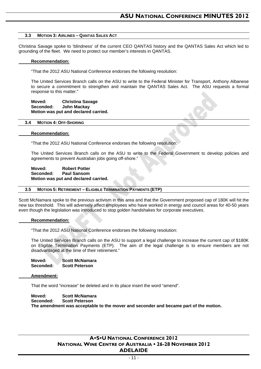#### **3.3 MOTION 3: AIRLINES – QANTAS SALES ACT**

Christina Savage spoke to 'blindness' of the current CEO QANTAS history and the QANTAS Sales Act which led to grounding of the fleet. We need to protect our member's interests in QANTAS.

#### **Recommendation:**

"That the 2012 ASU National Conference endorses the following resolution:

 The United Services Branch calls on the ASU to write to the Federal Minister for Transport, Anthony Albanese to secure a commitment to strengthen and maintain the QANTAS Sales Act. The ASU requests a formal response to this matter."

#### **Moved: Christina Savage Seconded: John Mackay Motion was put and declared carried.**

#### **3.4 MOTION 4: OFF-SHORING**

#### **Recommendation:**

"That the 2012 ASU National Conference endorses the following resolution:

 The United Services Branch calls on the ASU to write to the Federal Government to develop policies and agreements to prevent Australian jobs going off-shore."

 **Moved: Robert Potter Seconded: Paul Sansom Motion was put and declared carried.** 

#### **3.5 MOTION 5: RETIREMENT – ELIGIBLE TERMINATION PAYMENTS (ETP)**

Scott McNamara spoke to the previous activism in this area and that the Government proposed cap of 180K will hit the new tax threshold. This will adversely affect employees who have worked in energy and council areas for 40-50 years even though the legislation was introduced to stop golden handshakes for corporate executives.

#### **Recommendation:**

"That the 2012 ASU National Conference endorses the following resolution:

 The United Services Branch calls on the ASU to support a legal challenge to increase the current cap of \$180K on Eligible Termination Payments (ETP). The aim of the legal challenge is to ensure members are not disadvantaged at the time of their retirement.

 **Moved: Scott McNamara Seconded: Scott Peterson** 

#### **Amendment:**

That the word "increase" be deleted and in its place insert the word "amend".

 **Moved: Scott McNamara Seconded: Scott Peterson The amendment was acceptable to the mover and seconder and became part of the motion.**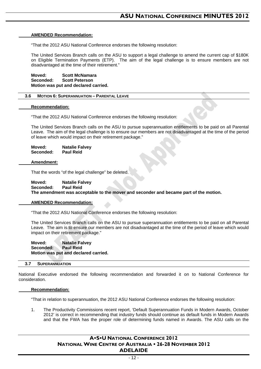#### **AMENDED Recommendation:**

"That the 2012 ASU National Conference endorses the following resolution:

 The United Services Branch calls on the ASU to support a legal challenge to amend the current cap of \$180K on Eligible Termination Payments (ETP). The aim of the legal challenge is to ensure members are not disadvantaged at the time of their retirement."

 **Moved: Scott McNamara Seconded: Scott Peterson Motion was put and declared carried.** 

#### **3.6 MOTION 6: SUPERANNUATION – PARENTAL LEAVE**

#### **Recommendation:**

"That the 2012 ASU National Conference endorses the following resolution:

 The United Services Branch calls on the ASU to pursue superannuation entitlements to be paid on all Parental Leave. The aim of the legal challenge is to ensure our members are not disadvantaged at the time of the period of leave which would impact on their retirement package."

| Moved:    | <b>Natalie Falvey</b> |
|-----------|-----------------------|
| Seconded: | <b>Paul Reid</b>      |

#### **Amendment:**

That the words "of the legal challenge" be deleted.

 **Moved: Natalie Falvey Seconded: Paul Reid The amendment was acceptable to the mover and seconder and became part of the motion.** 

#### **AMENDED Recommendation:**

"That the 2012 ASU National Conference endorses the following resolution:

 The United Services Branch calls on the ASU to pursue superannuation entitlements to be paid on all Parental Leave. The aim is to ensure our members are not disadvantaged at the time of the period of leave which would impact on their retirement package."

**Moved:** Natalie Falvey<br> **Seconded:** Paul Reid Seconded: **Motion was put and declared carried.** 

#### **3.7 SUPERANNUATION**

National Executive endorsed the following recommendation and forwarded it on to National Conference for consideration.

#### **Recommendation:**

"That in relation to superannuation, the 2012 ASU National Conference endorses the following resolution:

1. The Productivity Commissions recent report, 'Default Superannuation Funds in Modern Awards, October 2012' is correct in recommending that industry funds should continue as default funds in Modern Awards and that the FWA has the proper role of determining funds named in Awards. The ASU calls on the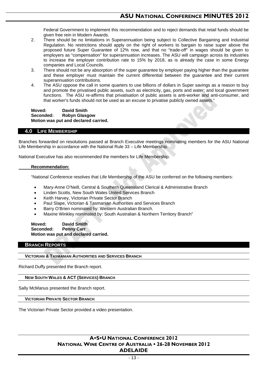Federal Government to implement this recommendation and to reject demands that retail funds should be given free rein in Modern Awards.

- 2. There should be no limitations in Superannuation being subject to Collective Bargaining and Industrial Regulation. No restrictions should apply on the right of workers to bargain to raise super above the proposed future Super Guarantee of 12% now, and that no "trade-off" in wages should be given to employers as "compensation" for superannuation increases. The ASU will campaign across its industries to increase the employer contribution rate to 15% by 2018, as is already the case in some Energy companies and Local Councils.
- 3. There should not be any absorption of the super guarantee by employer paying higher than the guarantee and these employer must maintain the current differential between the guarantee and their current superannuation contributions.
- 4. The ASU oppose the call in some quarters to use billions of dollars in Super savings as a reason to buy and promote the privatised public assets, such as electricity, gas, ports and water; and local government functions. The ASU re-affirms that privatisation of public assets is anti-worker and anti-consumer, and that worker's funds should not be used as an excuse to privatise publicly owned assets."

 **Moved: David Smith Seconded: Robyn Glasgow Motion was put and declared carried.** 

#### **4.0 LIFE MEMBERSHIP**

Branches forwarded on resolutions passed at Branch Executive meetings nominating members for the ASU National Life Membership in accordance with the National Rule 33 – Life Membership.

National Executive has also recommended the members for Life Membership.

#### **Recommendation:**

"National Conference resolves that Life Membership of the ASU be conferred on the following members:

- Mary-Anne O'Neill, Central & Southern Queensland Clerical & Administrative Branch
- Linden Scotts, New South Wales United Services Branch
- Keith Harvey, Victorian Private Sector Branch
- Paul Slape, Victorian & Tasmanian Authorities and Services Branch
- Barry O'Brien nominated by: Western Australian Branch.
- Maxine Winkley nominated by: South Australian & Northern Territory Branch"

 **Moved: David Smith Seconded: Penny Carr Motion was put and declared carried.** 

#### **BRANCH REPORTS**

#### **VICTORIAN & TASMANIAN AUTHORITIES AND SERVICES BRANCH**

Richard Duffy presented the Branch report.

 **NEW SOUTH WALES & ACT (SERVICES) BRANCH**

Sally McManus presented the Branch report.

 **VICTORIAN PRIVATE SECTOR BRANCH**

The Victorian Private Sector provided a video presentation.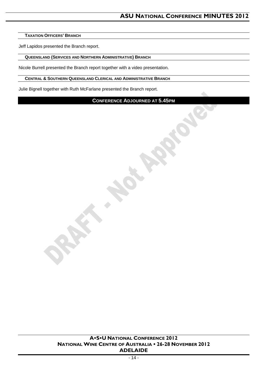#### **TAXATION OFFICERS' BRANCH**

Jeff Lapidos presented the Branch report.

### **QUEENSLAND (SERVICES AND NORTHERN ADMINISTRATIVE) BRANCH**

Nicole Burrell presented the Branch report together with a video presentation.

#### **CENTRAL & SOUTHERN QUEENSLAND CLERICAL AND ADMINISTRATIVE BRANCH**

Julie Bignell together with Ruth McFarlane presented the Branch report.

## **CONFERENCE ADJOURNED AT 5.45PM**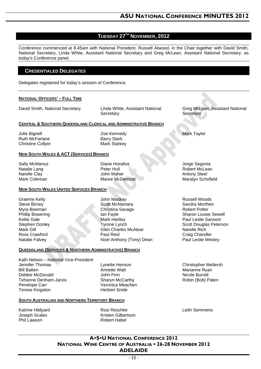## **TUESDAY 27TH NOVEMBER, 2012**

Conference commenced at 8.45am with National President, Russell Atwood, in the Chair together with David Smith, National Secretary, Linda White, Assistant National Secretary and Greg McLean, Assistant National Secretary, as today's Conference panel.

## **CREDENTIALED DELEGATES**

Delegates registered for today's session of Conference.

#### **NATIONAL OFFICERS' – FULL TIME**

David Smith, National Secretary Linda White, Assistant National

**Secretary** 

#### **CENTRAL & SOUTHERN QUEENSLAND CLERICAL AND ADMINISTRATIVE BRANCH**

Julie Bignell Ruth McFarlane Christine Collyer Zoe Kennedy Barry Stark Mark Starkey

#### **NEW SOUTH WALES & ACT (SERVICES) BRANCH**

Sally McManus Natalie Lang Narelle Clay Mark Coleman

Diane Horafios Peter Hull John Maher Maree McDermott

#### **NEW SOUTH WALES UNITED SERVICES BRANCH**

Kath Nelson – National Vice-President

Graeme Kelly Steve Birney Myra Bowman Phillip Bowering Kellie Gale Stephen Donley Mark Gill Ross Crawford Natalie Falvey

Jennifer Thomas Bill Batten

Debbie McDonald Tehanne Denham-Jarvis

Penelope Carr Terese Kingston

John Mackay Scott McNamara Christina Savage Ian Fayle Mark Hartley Tyrone Lynch Glen Charles McAtear Paul Reid Noel Anthony (Tony) Dean

Greg McLean, Assistant National

Mark Taylor

**Secretary** 

Jorge Segovia Robert McLean Antony Steel Maralyn Schofield

Russell Woods Sandra Morthen Robert Potter Sharon Louise Sewell Paul Leslie Sansom Scott Douglas Peterson Narelle Rich Craig Chandler Paul Leslie Wesley

Christopher Mellersh Marianne Ryan Nicole Burrell Robin (Bob) Paten

**SOUTH AUSTRALIAN AND NORTHERN TERRITORY BRANCH**

**QUEENSLAND (SERVICES & NORTHERN ADMINISTRATIVE) BRANCH**

Katrine Hildyard Joseph Scales Phil Lawson

Rosi Reschke Kristen Gilbertson Robert Habel

Lynette Henson Annette Watt John Finn

Sharyn McCarthy Veronica Meachen Herbert Snide

Leith Semmens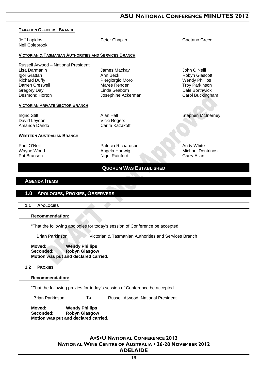## **ASU NATIONAL CONFERENCE MINUTES 2012**

| <b>TAXATION OFFICERS' BRANCH</b>                                                                                                                               |                                                                                                     |                                                                                                                        |  |
|----------------------------------------------------------------------------------------------------------------------------------------------------------------|-----------------------------------------------------------------------------------------------------|------------------------------------------------------------------------------------------------------------------------|--|
| Jeff Lapidos<br><b>Neil Colebrook</b>                                                                                                                          | Peter Chaplin                                                                                       | Gaetano Greco                                                                                                          |  |
| <b>VICTORIAN &amp; TASMANIAN AUTHORITIES AND SERVICES BRANCH</b>                                                                                               |                                                                                                     |                                                                                                                        |  |
| Russell Atwood - National President<br>Lisa Darmanin<br>Igor Grattan<br><b>Richard Duffy</b><br>Darren Creswell<br><b>Gregory Day</b><br><b>Desmond Horton</b> | James Mackay<br>Ann Beck<br>Piergiorgio Moro<br>Maree Renden<br>Linda Seaborn<br>Josephine Ackerman | John O'Neill<br>Robyn Glascott<br><b>Wendy Phillips</b><br><b>Troy Parkinson</b><br>Dale Borthwick<br>Carol Buckingham |  |
| <b>VICTORIAN PRIVATE SECTOR BRANCH</b>                                                                                                                         |                                                                                                     |                                                                                                                        |  |
| Ingrid Stitt<br>David Leydon<br>Amanda Dando                                                                                                                   | Alan Hall<br>Vicki Rogers<br>Carita Kazakoff                                                        | <b>Stephen McInerney</b>                                                                                               |  |
| <b>WESTERN AUSTRALIAN BRANCH</b>                                                                                                                               |                                                                                                     |                                                                                                                        |  |
| Paul O'Neill<br>Wayne Wood<br>Pat Branson                                                                                                                      | Patricia Richardson<br>Angela Hartwig<br>Nigel Rainford                                             | Andy White<br><b>Michael Dentrinos</b><br>Garry Allan                                                                  |  |
|                                                                                                                                                                | <b>QUORUM WAS ESTABLISHED</b>                                                                       |                                                                                                                        |  |
| <b>AGENDA ITEMS</b>                                                                                                                                            |                                                                                                     |                                                                                                                        |  |
|                                                                                                                                                                |                                                                                                     |                                                                                                                        |  |
| <b>APOLOGIES, PROXIES, OBSERVERS</b><br>1.0                                                                                                                    |                                                                                                     |                                                                                                                        |  |
| 1.1<br><b>APOLOGIES</b>                                                                                                                                        |                                                                                                     |                                                                                                                        |  |
| <b>Recommendation:</b>                                                                                                                                         |                                                                                                     |                                                                                                                        |  |
|                                                                                                                                                                | "That the following apologies for today's session of Conference be accepted.                        |                                                                                                                        |  |
| <b>Brian Parkinson</b><br>Victorian & Tasmanian Authorities and Services Branch                                                                                |                                                                                                     |                                                                                                                        |  |
| <b>Wendy Phillips</b><br>Moved:<br><b>Robyn Glasgow</b><br>Seconded:<br>Motion was put and declared carried.                                                   |                                                                                                     |                                                                                                                        |  |

#### **1.2 PROXIES**

 **Recommendation:**

"That the following proxies for today's session of Conference be accepted.

Brian Parkinson To Russell Atwood, National President

**Moved: Wendy Phillips Seconded: Robyn Glasgow Motion was put and declared carried.**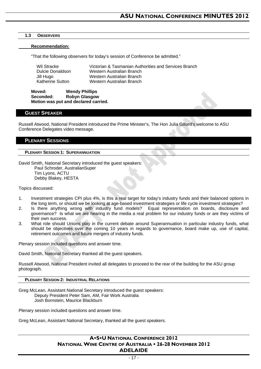#### **1.3 OBSERVERS**

#### **Recommendation:**

"That the following observers for today's session of Conference be admitted."

| Wil Stracke      | Victorian & Tasmanian Authorities and Services Branch |
|------------------|-------------------------------------------------------|
| Dulcie Donaldson | Western Australian Branch                             |
| Jill Hugo        | Western Australian Branch                             |
| Katherine Sutton | Western Australian Branch                             |

**Moved: Wendy Phillips Robyn Glasgow Motion was put and declared carried.** 

#### **GUEST SPEAKER**

Russell Atwood, National President introduced the Prime Minister's, The Hon Julia Gillard's welcome to ASU Conference Delegates video message.

#### **PLENARY SESSIONS**

#### **PLENARY SESSION 1: SUPERANNUATION**

David Smith, National Secretary introduced the guest speakers: Paul Schroder, AustralianSuper Tim Lyons, ACTU Debby Blakey, HESTA

Topics discussed:

- 1. Investment strategies CPI plus 4%, is this a real target for today's industry funds and their balanced options in the long term, or should we be looking at age-based investment strategies or life cycle investment strategies?
- 2. Is there anything wrong with industry fund models? Equal representation on boards, disclosure and governance? Is what we are hearing in the media a real problem for our industry funds or are they victims of their own success.
- 3. What role should Unions play in the current debate around Superannuation in particular industry funds, what should be objectives over the coming 10 years in regards to governance, board make up, use of capital, retirement outcomes and future mergers of industry funds.

Plenary session included questions and answer time.

David Smith, National Secretary thanked all the guest speakers.

Russell Atwood, National President invited all delegates to proceed to the rear of the building for the ASU group photograph.

#### **PLENARY SESSION 2: INDUSTRIAL RELATIONS**

Greg McLean, Assistant National Secretary introduced the guest speakers: Deputy President Peter Sam, AM, Fair Work Australia Josh Bornstein, Maurice Blackburn

Plenary session included questions and answer time.

Greg McLean, Assistant National Secretary, thanked all the guest speakers.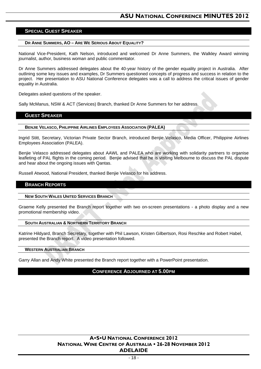#### **SPECIAL GUEST SPEAKER**

#### **DR ANNE SUMMERS, AO – ARE WE SERIOUS ABOUT EQUALITY?**

National Vice-President, Kath Nelson, introduced and welcomed Dr Anne Summers, the Walkley Award winning journalist, author, business woman and public commentator.

Dr Anne Summers addressed delegates about the 40-year history of the gender equality project in Australia. After outlining some key issues and examples, Dr Summers questioned concepts of progress and success in relation to the project. Her presentation to ASU National Conference delegates was a call to address the critical issues of gender equality in Australia.

Delegates asked questions of the speaker.

Sally McManus, NSW & ACT (Services) Branch, thanked Dr Anne Summers for her address.

#### **GUEST SPEAKER**

#### **BENJIE VELASCO, PHILIPPINE AIRLINES EMPLOYEES ASSOCIATION (PALEA)**

Ingrid Stitt, Secretary, Victorian Private Sector Branch, introduced Benjie Velasco, Media Officer, Philippine Airlines Employees Association (PALEA).

Benjie Velasco addressed delegates about AAWL and PALEA who are working with solidarity partners to organise leafleting of PAL flights in the coming period. Benjie advised that he is visiting Melbourne to discuss the PAL dispute and hear about the ongoing issues with Qantas.

Russell Atwood, National President, thanked Benjie Velasco for his address.

#### **BRANCH REPORTS**

#### **NEW SOUTH WALES UNITED SERVICES BRANCH**

Graeme Kelly presented the Branch report together with two on-screen presentations - a photo display and a new promotional membership video.

#### **SOUTH AUSTRALIAN & NORTHERN TERRITORY BRANCH**

Katrine Hildyard, Branch Secretary, together with Phil Lawson, Kristen Gilbertson, Rosi Reschke and Robert Habel, presented the Branch report. A video presentation followed.

#### **WESTERN AUSTRALIAN BRANCH**

Garry Allan and Andy White presented the Branch report together with a PowerPoint presentation.

### **CONFERENCE ADJOURNED AT 5.00PM**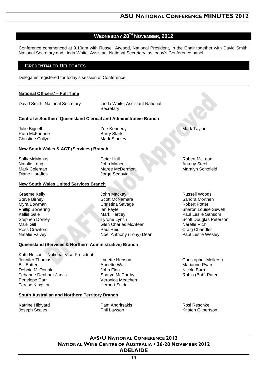## **WEDNESDAY 28TH NOVEMBER, 2012**

Conference commenced at 9.10am with Russell Atwood, National President, in the Chair together with David Smith, National Secretary and Linda White, Assistant National Secretary, as today's Conference panel.

## **CREDENTIALED DELEGATES**

Delegates registered for today's session of Conference.

#### **National Officers' – Full Time**

David Smith, National Secretary Linda White, Assistant National

**Secretary** 

#### **Central & Southern Queensland Clerical and Administrative Branch**

Julie Bignell Ruth McFarlane Christine Collyer Zoe Kennedy Barry Stark Mark Starkey

#### **New South Wales & ACT (Services) Branch**

Sally McManus Natalie Lang Mark Coleman Diane Horafios

Peter Hull John Maher Maree McDermott Jorge Segovia

#### **New South Wales United Services Branch**

Graeme Kelly Steve Birney Myra Bowman Phillip Bowering Kellie Gale Stephen Donley Mark Gill Ross Crawford Natalie Falvey

John Mackay Scott McNamara Christina Savage Ian Fayle Mark Hartley Tyrone Lynch Glen Charles McAtear Paul Reid Noel Anthony (Tony) Dean

#### **Queensland (Services & Northern Administrative) Branch**

Kath Nelson – National Vice-President Jennifer Thomas Bill Batten Debbie McDonald Tehanne Denham-Jarvis Penelope Carr Terese Kingston

Lynette Henson Annette Watt John Finn Sharyn McCarthy Veronica Meachen Herbert Snide

#### **South Australian and Northern Territory Branch**

Katrine Hildyard Joseph Scales

Pam Andritsakis Phil Lawson

Rosi Reschke Kristen Gilbertson

## **ASU NATIONAL CONFERENCE 2012 NATIONAL WINE CENTRE OF AUSTRALIA 26-28 NOVEMBER 2012 ADELAIDE**

Mark Taylor

Robert McLean Antony Steel Maralyn Schofield

Russell Woods Sandra Morthen Robert Potter Sharon Louise Sewell Paul Leslie Sansom Scott Douglas Peterson Narelle Rich Craig Chandler Paul Leslie Wesley

Christopher Mellersh Marianne Ryan Nicole Burrell Robin (Bob) Paten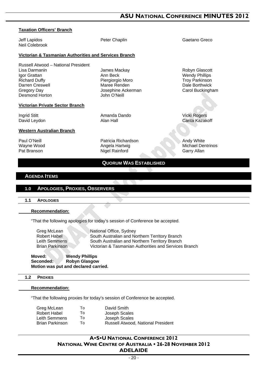## **ASU NATIONAL CONFERENCE MINUTES 2012**

## **Taxation Officers' Branch**

Neil Colebrook

Jeff Lapidos Peter Chaplin Gaetano Greco

Robyn Glascott Wendy Phillips Troy Parkinson Dale Borthwick Carol Buckingham

Vicki Rogers Carita Kazakoff

Andy White Michael Dentrinos Garry Allan

**Victorian & Tasmanian Authorities and Services Branch** 

Russell Atwood – National President Lisa Darmanin Igor Grattan Richard Duffy Darren Creswell Gregory Day Desmond Horton

#### **Victorian Private Sector Branch**

Ingrid Stitt David Leydon James Mackay Ann Beck Piergiorgio Moro Maree Renden Josephine Ackerman John O'Neill

Amanda Dando Alan Hall

#### **Western Australian Branch**

Paul O'Neill Wayne Wood Pat Branson

Patricia Richardson Angela Hartwig Nigel Rainford

## **QUORUM WAS ESTABLISHED**

#### **AGENDA ITEMS**

#### **1.0 APOLOGIES, PROXIES, OBSERVERS**

#### **1.1 APOLOGIES**

| <b>Recommendation:</b> |
|------------------------|
|------------------------|

"That the following apologies for today's session of Conference be accepted.

Greg McLean National Office, Sydney Robert Habel South Australian and Northern Territory Branch Leith Semmens South Australian and Northern Territory Branch Brian Parkinson Victorian & Tasmanian Authorities and Services Branch

#### **Moved:** Wendy Phillips<br> **Seconded:** Robyn Glasgow **Robyn Glasgow Motion was put and declared carried.**

#### **1.2 PROXIES**

#### **Recommendation:**

"That the following proxies for today's session of Conference be accepted.

| To  | David Smith                        |
|-----|------------------------------------|
| To  | Joseph Scales                      |
| To: | Joseph Scales                      |
| To  | Russell Atwood, National President |
|     |                                    |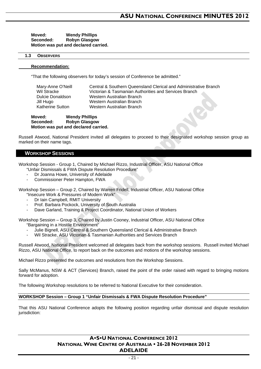**Moved: Wendy Phillips Seconded: Robyn Glasgow Motion was put and declared carried.** 

#### **1.3 OBSERVERS**

#### **Recommendation:**

"That the following observers for today's session of Conference be admitted."

| Mary-Anne O'Neill | Central & Southern Queensland Clerical and Administrative Branch |
|-------------------|------------------------------------------------------------------|
| Wil Stracke       | Victorian & Tasmanian Authorities and Services Branch            |
| Dulcie Donaldson  | Western Australian Branch                                        |
| Jill Hugo         | Western Australian Branch                                        |
| Katherine Sutton  | Western Australian Branch                                        |

**Moved: Wendy Phillips Seconded: Robyn Glasgow Motion was put and declared carried.** 

Russell Atwood, National President invited all delegates to proceed to their designated workshop session group as marked on their name tags.

#### **WORKSHOP SESSIONS**

Workshop Session - Group 1, Chaired by Michael Rizzo, Industrial Officer, ASU National Office

- "Unfair Dismissals & FWA Dispute Resolution Procedure"
- Dr Joanna Howe, University of Adelaide
- Commissioner Peter Hampton, FWA

Workshop Session – Group 2, Chaired by Warren Fridell, Industrial Officer, ASU National Office "Insecure Work & Pressures of Modern Work"

- Dr Iain Campbell, RMIT University
- Prof. Barbara Pockock, University of South Australia
- Dave Garland, Training & Project Coordinator, National Union of Workers

Workshop Session – Group 3, Chaired by Justin Cooney, Industrial Officer, ASU National Office "Bargaining in a Hostile Environment"

- Julie Bignell, ASU Central & Southern Queensland Clerical & Administrative Branch
- Wil Stracke, ASU Victorian & Tasmanian Authorities and Services Branch

Russell Atwood, National President welcomed all delegates back from the workshop sessions. Russell invited Michael Rizzo, ASU National Office, to report back on the outcomes and motions of the workshop sessions.

Michael Rizzo presented the outcomes and resolutions from the Workshop Sessions.

Sally McManus, NSW & ACT (Services) Branch, raised the point of the order raised with regard to bringing motions forward for adoption.

The following Workshop resolutions to be referred to National Executive for their consideration.

#### **WORKSHOP Session – Group 1 "Unfair Dismissals & FWA Dispute Resolution Procedure"**

That this ASU National Conference adopts the following position regarding unfair dismissal and dispute resolution jurisdiction: